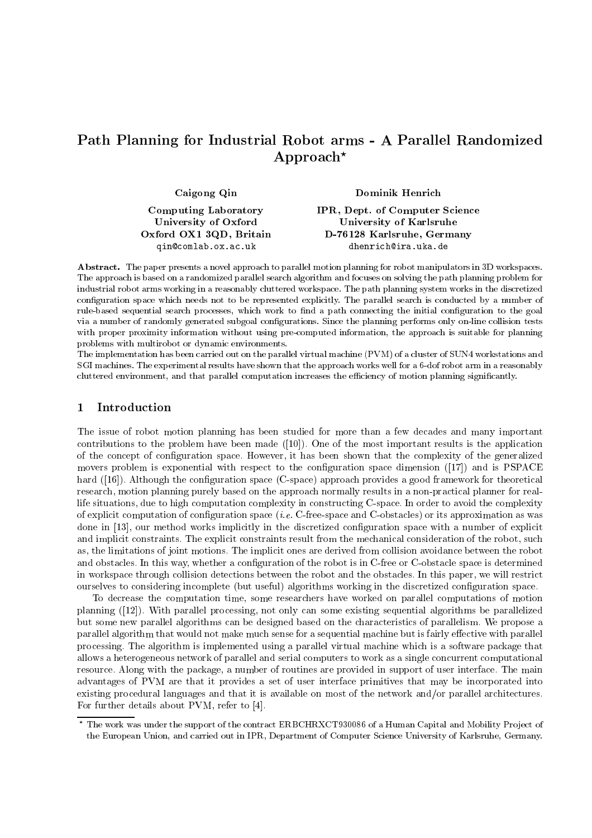# Path Planning for Industrial Robot arms - A Parallel Randomized Approach<sup>\*</sup>

| Caigong Qin                                         | Dominik Henrich                                           |
|-----------------------------------------------------|-----------------------------------------------------------|
| <b>Computing Laboratory</b><br>University of Oxford | IPR, Dept. of Computer Science<br>University of Karlsruhe |
| Oxford OX1 3QD, Britain                             | D-76128 Karlsruhe, Germany                                |
| qin@comlab.ox.ac.uk                                 | dhenrich@ira.uka.de                                       |

Abstract. The paper presents a novel approach to parallel motion planning for robot manipulators in 3D workspaces. The approach is based on a randomized parallel search algorithm and focuses on solving the path planning problem for industrial robot arms working in a reasonably cluttered workspace. The path planning system works in the discretized configuration space which needs not to be represented explicitly. The parallel search is conducted by a number of rule-based sequential search processes, which work to find a path connecting the initial configuration to the goal via a number of randomly generated subgoal configurations. Since the planning performs only on-line collision tests with proper proximity information without using pre-computed information, the approach is suitable for planning problems with multirobot or dynamic environments.

The implementation has been carried out on the parallel virtual machine (PVM) of a cluster of SUN4 workstations and SGI machines. The experimental results have shown that the approach works well for a 6-dof robot arm in a reasonably cluttered environment, and that parallel computation increases the efficiency of motion planning significantly.

## 1 Introduction

The issue of robot motion planning has been studied for more than a few decades and many important contributions to the problem have been made ([10]). One of the most important results is the application of the concept of configuration space. However, it has been shown that the complexity of the generalized movers problem is exponential with respect to the configuration space dimension  $(17)$  and is PSPACE hard  $([16])$ . Although the configuration space (C-space) approach provides a good framework for theoretical research, motion planning purely based on the approach normally results in a non-practical planner for reallife situations, due to high computation complexity in constructing C-space. In order to avoid the complexity of explicit computation of conguration space (i.e. C-free-space and C-obstacles) or its approximation as was done in [13], our method works implicitly in the discretized conguration space with a number of explicit and implicit constraints. The explicit constraints result from the mechanical consideration of the robot, such as, the limitations of joint motions. The implicit ones are derived from collision avoidance between the robot and obstacles. In this way, whether a configuration of the robot is in C-free or C-obstacle space is determined in workspace through collision detections between the robot and the obstacles. In this paper, we will restrict ourselves to considering incomplete (but useful) algorithms working in the discretized conguration space.

To decrease the computation time, some researchers have worked on parallel computations of motion planning ([12]). With parallel processing, not only can some existing sequential algorithms be parallelized but some new parallel algorithms can be designed based on the characteristics of parallelism. We propose a parallel algorithm that would not make much sense for a sequential machine but is fairly effective with parallel processing. The algorithm is implemented using a parallel virtual machine which is a software package that allows a heterogeneous network of parallel and serial computers to work as a single concurrent computational resource. Along with the package, a number of routines are provided in support of user interface. The main advantages of PVM are that it provides a set of user interface primitives that may be incorporated into existing procedural languages and that it is available on most of the network and/or parallel architectures. For further details about PVM, refer to [4].

<sup>?</sup> The work was under the support of the contract ERBCHRXCT930086 of a Human Capital and Mobility Pro ject of the European Union, and carried out in IPR, Department of Computer Science University of Karlsruhe, Germany.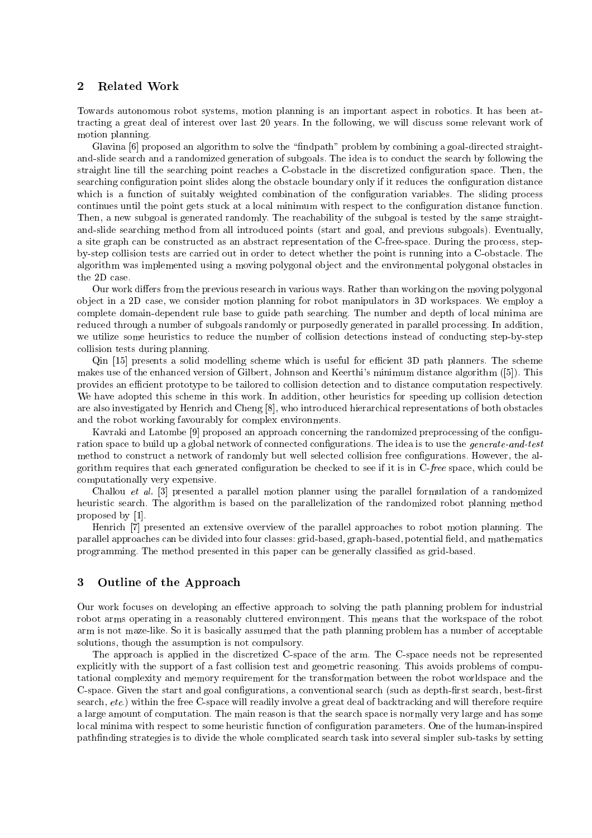Towards autonomous robot systems, motion planning is an important aspect in robotics. It has been attracting a great deal of interest over last 20 years. In the following, we will discuss some relevant work of motion planning.

Glavina [6] proposed an algorithm to solve the "findpath" problem by combining a goal-directed straightand-slide search and a randomized generation of subgoals. The idea is to conduct the search by following the straight line till the searching point reaches a C-obstacle in the discretized configuration space. Then, the searching configuration point slides along the obstacle boundary only if it reduces the configuration distance which is a function of suitably weighted combination of the configuration variables. The sliding process continues until the point gets stuck at a local minimum with respect to the conguration distance function. Then, a new subgoal is generated randomly. The reachability of the subgoal is tested by the same straightand-slide searching method from all introduced points (start and goal, and previous subgoals). Eventually, a site graph can be constructed as an abstract representation of the C-free-space. During the process, stepby-step collision tests are carried out in order to detect whether the point is running into a C-obstacle. The algorithm was implemented using a moving polygonal ob ject and the environmental polygonal obstacles in the 2D case.

Our work differs from the previous research in various ways. Rather than working on the moving polygonal ob ject in a 2D case, we consider motion planning for robot manipulators in 3D workspaces. We employ a complete domain-dependent rule base to guide path searching. The number and depth of local minima are reduced through a number of subgoals randomly or purposedly generated in parallel processing. In addition, we utilize some heuristics to reduce the number of collision detections instead of conducting step-by-step collision tests during planning.

Qin [15] presents a solid modelling scheme which is useful for efficient 3D path planners. The scheme makes use of the enhanced version of Gilbert, Johnson and Keerthi's minimum distance algorithm ([5]). This provides an efficient prototype to be tailored to collision detection and to distance computation respectively. We have adopted this scheme in this work. In addition, other heuristics for speeding up collision detection are also investigated by Henrich and Cheng [8], who introduced hierarchical representations of both obstacles and the robot working favourably for complex environments.

Kavraki and Latombe [9] proposed an approach concerning the randomized preprocessing of the configuration space to build up a global network of connected configurations. The idea is to use the *generate-and-test* method to construct a network of randomly but well selected collision free configurations. However, the algorithm requires that each generated configuration be checked to see if it is in C-free space, which could be computationally very expensive.

Challou et al. [3] presented a parallel motion planner using the parallel formulation of a randomized heuristic search. The algorithm is based on the parallelization of the randomized robot planning method proposed by [1].

Henrich [7] presented an extensive overview of the parallel approaches to robot motion planning. The parallel approaches can be divided into four classes: grid-based, graph-based, potential field, and mathematics programming. The method presented in this paper can be generally classied as grid-based.

### 3 Outline of the Approach

Our work focuses on developing an effective approach to solving the path planning problem for industrial robot arms operating in a reasonably cluttered environment. This means that the workspace of the robot arm is not maze-like. So it is basically assumed that the path planning problem has a number of acceptable solutions, though the assumption is not compulsory.

The approach is applied in the discretized C-space of the arm. The C-space needs not be represented explicitly with the support of a fast collision test and geometric reasoning. This avoids problems of computational complexity and memory requirement for the transformation between the robot worldspace and the C-space. Given the start and goal configurations, a conventional search (such as depth-first search, best-first search, etc.) within the free C-space will readily involve a great deal of backtracking and will therefore require a large amount of computation. The main reason is that the search space is normally very large and has some local minima with respect to some heuristic function of configuration parameters. One of the human-inspired pathnding strategies is to divide the whole complicated search task into several simpler sub-tasks by setting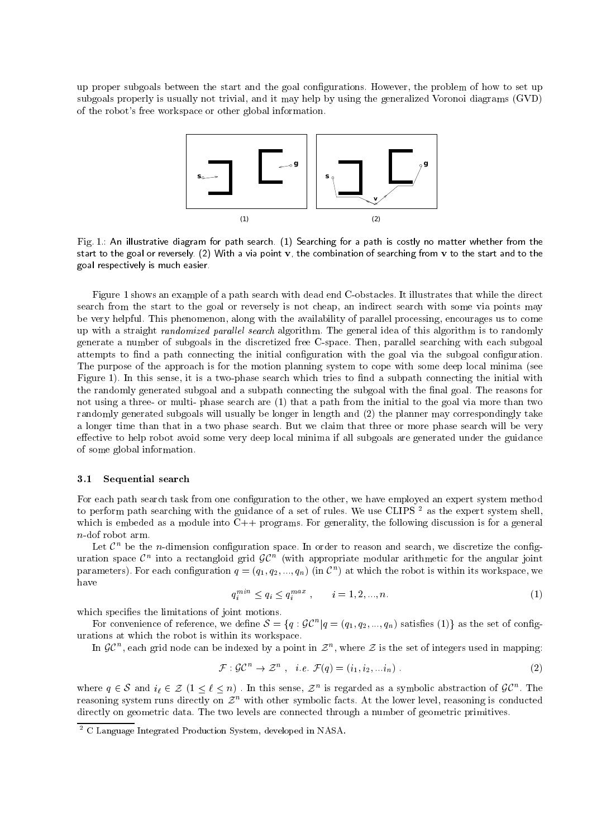up proper subgoals between the start and the goal congurations. However, the problem of how to set up subgoals properly is usually not trivial, and it may help by using the generalized Voronoi diagrams (GVD) of the robot's free workspace or other global information.



Fig. 1.: An illustrative diagram for path search. (1) Searching for a path is costly no matter whether from the start to the goal or reversely. (2) With a via point v, the combination of searching from v to the start and to the goal respectively is much easier.

Figure 1 shows an example of a path search with dead end C-obstacles. It illustrates that while the direct search from the start to the goal or reversely is not cheap, an indirect search with some via points may be very helpful. This phenomenon, along with the availability of parallel processing, encourages us to come up with a straight *randomized parallel search* algorithm. The general idea of this algorithm is to randomly generate a number of subgoals in the discretized free C-space. Then, parallel searching with each subgoal attempts to find a path connecting the initial configuration with the goal via the subgoal configuration. The purpose of the approach is for the motion planning system to cope with some deep local minima (see Figure 1). In this sense, it is a two-phase search which tries to find a subpath connecting the initial with the randomly generated subgoal and a subpath connecting the subgoal with the final goal. The reasons for not using a three- or multi- phase search are (1) that a path from the initial to the goal via more than two randomly generated subgoals will usually be longer in length and (2) the planner may correspondingly take a longer time than that in a two phase search. But we claim that three or more phase search will be very effective to help robot avoid some very deep local minima if all subgoals are generated under the guidance of some global information.

#### 3.1Sequential search

For each path search task from one configuration to the other, we have employed an expert system method to perform path searching with the guidance of a set of rules. We use CLIPS<sup>2</sup> as the expert system shell, which is embeded as a module into  $C++$  programs. For generality, the following discussion is for a general n-dof robot arm.

Let  $\mathcal{C}^n$  be the n-dimension configuration space. In order to reason and search, we discretize the configuration space  $\mathcal{C}^n$  into a rectangloid grid  $\mathcal{GC}^n$  (with appropriate modular arithmetic for the angular joint parameters). For each configuration  $q = (q_1, q_2, ..., q_n)$  (in  $\mathcal{C}^n$ ) at which the robot is within its workspace, we have

$$
q_i^{min} \le q_i \le q_i^{max} , \qquad i = 1, 2, ..., n. \tag{1}
$$

which specifies the limitations of joint motions.

For convenience of reference, we define  $S = \{q : \mathcal{GC}^n | q = (q_1, q_2, ..., q_n) \text{ satisfies (1)} \}$  as the set of configurations at which the robot is within its workspace.

In  $\mathcal{G}C^n$ , each grid node can be indexed by a point in  $\mathcal{Z}^n$ , where  $\mathcal Z$  is the set of integers used in mapping:

$$
\mathcal{F}: \mathcal{G}\mathcal{C}^n \to \mathcal{Z}^n \ , \ \ i.e. \ \mathcal{F}(q) = (i_1, i_2, \dots i_n) \ . \tag{2}
$$

 $\mathcal{F}: \mathcal{GC}^n \to \mathcal{Z}^n$ , *i.e.*  $\mathcal{F}(q) = (i_1, i_2, \ldots i_n)$ . (2)<br>where  $q \in \mathcal{S}$  and  $i_\ell \in \mathcal{Z}$   $(1 \leq \ell \leq n)$ . In this sense,  $\mathcal{Z}^n$  is regarded as a symbolic abstraction of  $\mathcal{GC}^n$ . The<br>reasoning system ru reasoning system runs directly on  $\mathcal{Z}^n$  with other symbolic facts. At the lower level, reasoning is conducted directly on geometric data. The two levels are connected through a number of geometric primitives.

<sup>2</sup> C Language Integrated Production System, developed in NASA.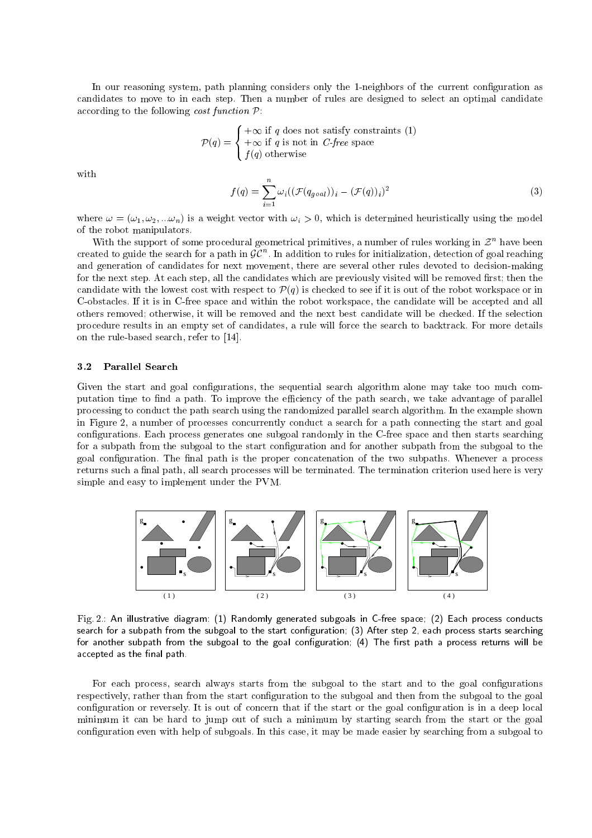In our reasoning system, path planning considers only the 1-neighbors of the current configuration as candidates to move to in each step. Then a number of rules are designed to select an optimal candidate according to the following *cost function*  $P$ :

$$
\mathcal{P}(q) = \begin{cases} +\infty \text{ if } q \text{ does not satisfy constraints (1)} \\ +\infty \text{ if } q \text{ is not in } C\text{-free space} \\ f(q) \text{ otherwise} \end{cases}
$$

with

$$
f(q) = \sum_{i=1}^{n} \omega_i ((\mathcal{F}(q_{goal}))_i - (\mathcal{F}(q))_i)^2
$$
\n(3)

where  $\omega = (\omega_1, \omega_2, ... \omega_n)$  is a weight vector with  $\omega_i > 0$ , which is determined heuristically using the model of the robot manipulators.

With the support of some procedural geometrical primitives, a number of rules working in  $\mathcal{Z}^n$  have been created to guide the search for a path in  $\mathcal{GC}^n.$  In addition to rules for initialization, detection of goal reaching and generation of candidates for next movement, there are several other rules devoted to decision-making for the next step. At each step, all the candidates which are previously visited will be removed first; then the candidate with the lowest cost with respect to P(q) is checked to see if it is out of the robot workspace or in C-obstacles. If it is in C-free space and within the robot workspace, the candidate will be accepted and all others removed; otherwise, it will be removed and the next best candidate will be checked. If the selection procedure results in an empty set of candidates, a rule will force the search to backtrack. For more details on the rule-based search, refer to [14].

#### 3.2Parallel Search

Given the start and goal configurations, the sequential search algorithm alone may take too much computation time to find a path. To improve the efficiency of the path search, we take advantage of parallel processing to conduct the path search using the randomized parallel search algorithm. In the example shown in Figure 2, a number of processes concurrently conduct a search for a path connecting the start and goal configurations. Each process generates one subgoal randomly in the C-free space and then starts searching for a subpath from the subgoal to the start configuration and for another subpath from the subgoal to the goal configuration. The final path is the proper concatenation of the two subpaths. Whenever a process returns such a final path, all search processes will be terminated. The termination criterion used here is very simple and easy to implement under the PVM.



Fig. 2.: An illustrative diagram: (1) Randomly generated subgoals in C-free space; (2) Each process conducts search for a subpath from the subgoal to the start configuration; (3) After step 2, each process starts searching for another subpath from the subgoal to the goal configuration; (4) The first path a process returns will be accepted as the final path.

For each process, search always starts from the subgoal to the start and to the goal configurations respectively, rather than from the start conguration to the subgoal and then from the subgoal to the goal configuration or reversely. It is out of concern that if the start or the goal configuration is in a deep local minimum it can be hard to jump out of such a minimum by starting search from the start or the goal configuration even with help of subgoals. In this case, it may be made easier by searching from a subgoal to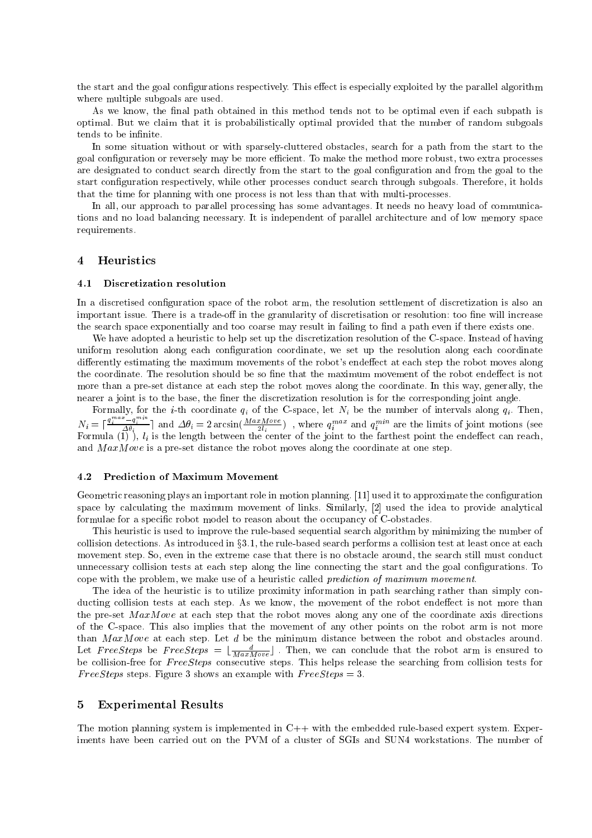the start and the goal configurations respectively. This effect is especially exploited by the parallel algorithm where multiple subgoals are used.

As we know, the final path obtained in this method tends not to be optimal even if each subpath is optimal. But we claim that it is probabilistically optimal provided that the number of random subgoals tends to be infinite.

In some situation without or with sparsely-cluttered obstacles, search for a path from the start to the goal configuration or reversely may be more efficient. To make the method more robust, two extra processes are designated to conduct search directly from the start to the goal conguration and from the goal to the start configuration respectively, while other processes conduct search through subgoals. Therefore, it holds that the time for planning with one process is not less than that with multi-processes.

In all, our approach to parallel processing has some advantages. It needs no heavy load of communications and no load balancing necessary. It is independent of parallel architecture and of low memory space requirements.

#### **Heuristics**  $\overline{4}$

#### 4.1Discretization resolution

In a discretised configuration space of the robot arm, the resolution settlement of discretization is also an important issue. There is a trade-off in the granularity of discretisation or resolution: too fine will increase the search space exponentially and too coarse may result in failing to find a path even if there exists one.

We have adopted a heuristic to help set up the discretization resolution of the C-space. Instead of having uniform resolution along each configuration coordinate, we set up the resolution along each coordinate differently estimating the maximum movements of the robot's endeffect at each step the robot moves along the coordinate. The resolution should be so fine that the maximum movement of the robot endeffect is not more than a pre-set distance at each step the robot moves along the coordinate. In this way, generally, the nearer a joint is to the base, the finer the discretization resolution is for the corresponding joint angle.

Formally, for the *i*-th coordinate  $q_i$  of the C-space, let  $N_i$  be the number of intervals along  $q_i$ . Then,  $N_i = \lceil \frac{q_i^{max} - q_i^{max}}{\Delta \theta_i} \rceil$  and  $\Delta \theta_i = 2 \arcsin(\frac{MaxMove}{2l_i})$ , where  $q_i^{max}$  and  $q_i^{min}$  are the limits of joint motions (see  $_{\rm{F}\rm{O}I}$  multiply  $_{l}$  is the length between the center of the joint to the farthest point the endeliect can reach, and  $MaxMove$  is a pre-set distance the robot moves along the coordinate at one step.

#### 4.2Prediction of Maximum Movement

Geometric reasoning plays an important role in motion planning. [11] used it to approximate the configuration space by calculating the maximum movement of links. Similarly, [2] used the idea to provide analytical formulae for a specic robot model to reason about the occupancy of C-obstacles.

This heuristic is used to improve the rule-based sequential search algorithm by minimizing the number of collision detections. As introduced in  $\S 3.1$ , the rule-based search performs a collision test at least once at each movement step. So, even in the extreme case that there is no obstacle around, the search still must conduct unnecessary collision tests at each step along the line connecting the start and the goal configurations. To cope with the problem, we make use of a heuristic called prediction of maximum movement.

The idea of the heuristic is to utilize proximity information in path searching rather than simply conducting collision tests at each step. As we know, the movement of the robot endeffect is not more than the pre-set  $MaxMove$  at each step that the robot moves along any one of the coordinate axis directions of the C-space. This also implies that the movement of any other points on the robot arm is not more than  $MaxMove$  at each step. Let d be the minimum distance between the robot and obstacles around. Let  $FreeSteps$  be  $FreeSteps = \lfloor \frac{d}{MaxMove} \rfloor$ . Then, we can conclude that the robot arm is ensured to be collision-free for FreeSteps consecutive steps. This helps release the searching from collision tests for FreeSteps steps. Figure 3 shows an example with  $FreeSteps = 3$ .

### 5 Experimental Results

The motion planning system is implemented in  $C++$  with the embedded rule-based expert system. Experiments have been carried out on the PVM of a cluster of SGIs and SUN4 workstations. The number of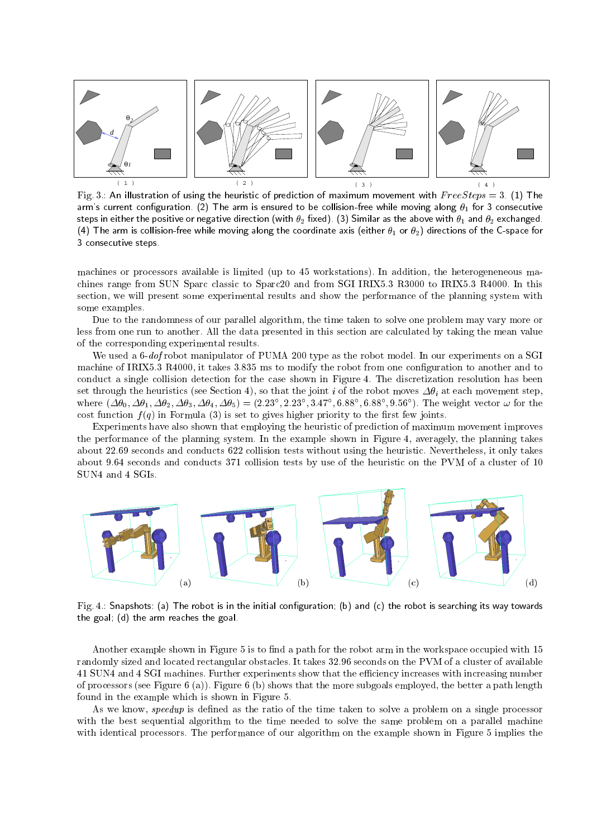

Fig. 3.: An illustration of using the heuristic of prediction of maximum movement with  $FreeSteps = 3.$  (1) The arm's current configuration. (2) The arm is ensured to be collision-free while moving along  $\theta_1$  for 3 consecutive steps in either the positive or negative direction (with  $\theta_2$  fixed). (3) Similar as the above with  $\theta_1$  and  $\theta_2$  exchanged. (4) The arm is collision-free while moving along the coordinate axis (either  $\theta_1$  or  $\theta_2$ ) directions of the C-space for 3 consecutive steps.

machines or processors available is limited (up to 45 workstations). In addition, the heterogeneneous machines range from SUN Sparc classic to Sparc20 and from SGI IRIX5.3 R3000 to IRIX5.3 R4000. In this section, we will present some experimental results and show the performance of the planning system with some examples.

Due to the randomness of our parallel algorithm, the time taken to solve one problem may vary more or less from one run to another. All the data presented in this section are calculated by taking the mean value of the corresponding experimental results.

We used a 6-dof robot manipulator of PUMA 200 type as the robot model. In our experiments on a SGI machine of IRIX5.3 R4000, it takes 3.835 ms to modify the robot from one conguration to another and to conduct a single collision detection for the case shown in Figure 4. The discretization resolution has been set through the heuristics (see Section 4), so that the joint i of the robot moves  $\Delta\theta_i$  at each movement step, where  $(\Delta \theta_0, \Delta \theta_1, \Delta \theta_2, \Delta \theta_3, \Delta \theta_4, \Delta \theta_5) = (2.23, 2.23, 3.47, 0.88, 0.88, 9.56)$ . The weight vector  $\omega$  for the cost function  $f(q)$  in Formula (3) is set to gives higher priority to the first few joints.

Experiments have also shown that employing the heuristic of prediction of maximum movement improves the performance of the planning system. In the example shown in Figure 4, averagely, the planning takes about 22.69 seconds and conducts 622 collision tests without using the heuristic. Nevertheless, it only takes about 9.64 seconds and conducts 371 collision tests by use of the heuristic on the PVM of a cluster of 10 SUN4 and 4 SGIs.



Fig. 4.: Snapshots: (a) The robot is in the initial configuration; (b) and (c) the robot is searching its way towards the goal; (d) the arm reaches the goal.

Another example shown in Figure 5 is to find a path for the robot arm in the workspace occupied with 15 randomly sized and located rectangular obstacles. It takes 32.96 seconds on the PVM of a cluster of available 41 SUN4 and 4 SGI machines. Further experiments show that the eciency increases with increasing number of processors (see Figure 6 (a)). Figure 6 (b) shows that the more subgoals employed, the better a path length found in the example which is shown in Figure 5.

As we know, *speedup* is defined as the ratio of the time taken to solve a problem on a single processor with the best sequential algorithm to the time needed to solve the same problem on a parallel machine with identical processors. The performance of our algorithm on the example shown in Figure 5 implies the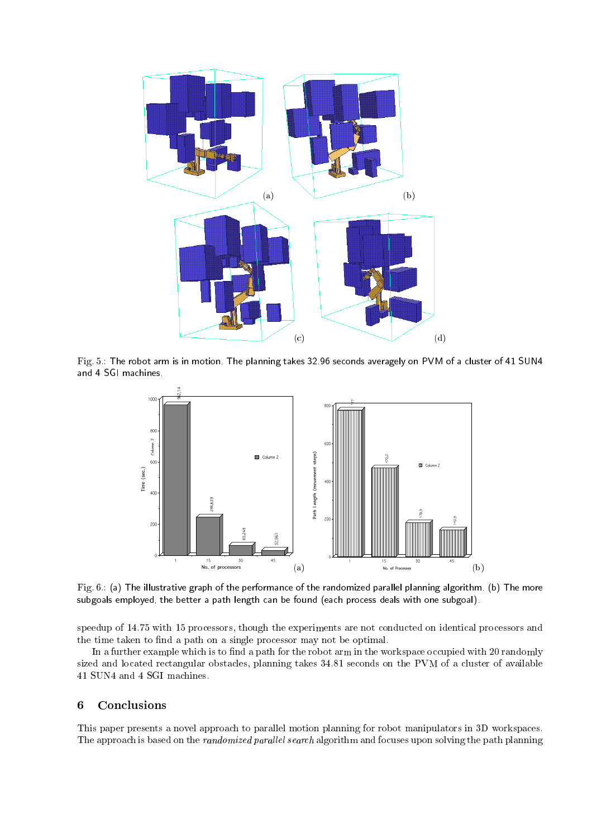

Fig. 5.: The robot arm is in motion. The planning takes 32.96 seconds averagely on PVM of a cluster of 41 SUN4 and 4 SGI machines.



Fig. 6.: (a) The illustrative graph of the performance of the randomized parallel planning algorithm. (b) The more subgoals employed, the better a path length can be found (each process deals with one subgoal).

speedup of 14.75 with 15 processors, though the experiments are not conducted on identical processors and the time taken to find a path on a single processor may not be optimal.

In a further example which is to find a path for the robot arm in the workspace occupied with 20 randomly sized and located rectangular obstacles, planning takes 34.81 seconds on the PVM of a cluster of available 41 SUN4 and 4 SGI machines.

### 6 **Conclusions**

This paper presents a novel approach to parallel motion planning for robot manipulators in 3D workspaces. The approach is based on the *randomized parallel search* algorithm and focuses upon solving the path planning